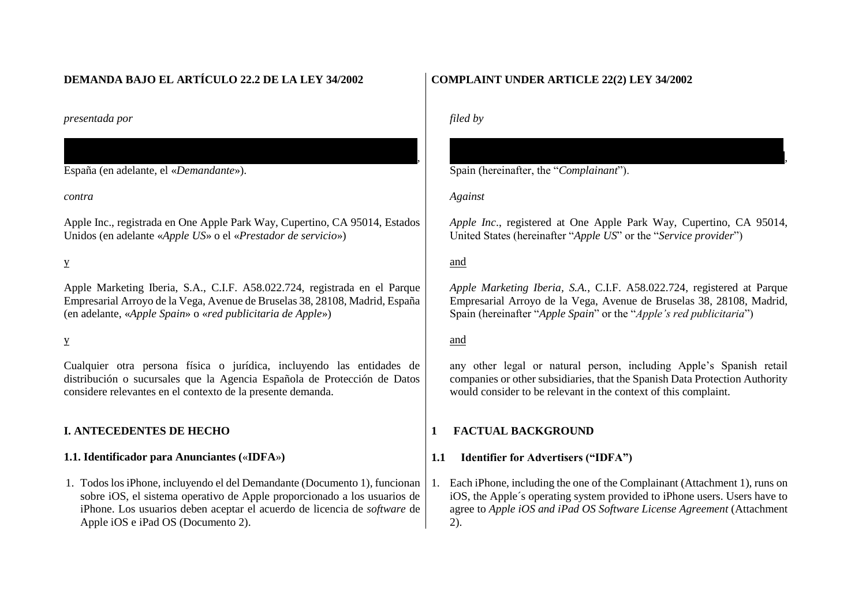# **DEMANDA BAJO EL ARTÍCULO 22.2 DE LA LEY 34/2002**

*presentada por* 

España (en adelante, el «*Demandante*»).

*contra*

Apple Inc., registrada en One Apple Park Way, Cupertino, CA 95014, Estados Unidos (en adelante «*Apple US*» o el «*Prestador de servicio*»)

 $\overline{g}$ 

y

Apple Marketing Iberia, S.A., C.I.F. A58.022.724, registrada en el Parque Empresarial Arroyo de la Vega, Avenue de Bruselas 38, 28108, Madrid, España (en adelante, «*Apple Spain*» o «*red publicitaria de Apple*»)

y

Cualquier otra persona física o jurídica, incluyendo las entidades de distribución o sucursales que la Agencia Española de Protección de Datos considere relevantes en el contexto de la presente demanda.

## **I. ANTECEDENTES DE HECHO**

## **1.1. Identificador para Anunciantes (**«**IDFA**»**)**

1. Todos los iPhone, incluyendo el del Demandante (Documento 1), funcionan sobre iOS, el sistema operativo de Apple proporcionado a los usuarios de iPhone. Los usuarios deben aceptar el acuerdo de licencia de *software* de Apple iOS e iPad OS (Documento 2).

# **COMPLAINT UNDER ARTICLE 22(2) LEY 34/2002**

*filed by*

 $\mathcal{G}_{q}$ Spain (hereinafter, the "*Complainant*").

*Against* 

*Apple Inc*., registered at One Apple Park Way, Cupertino, CA 95014, United States (hereinafter "*Apple US*" or the "*Service provider*")

# and

*Apple Marketing Iberia, S.A.*, C.I.F. A58.022.724, registered at Parque Empresarial Arroyo de la Vega, Avenue de Bruselas 38, 28108, Madrid, Spain (hereinafter "*Apple Spain*" or the "*Apple's red publicitaria*")

# and

any other legal or natural person, including Apple's Spanish retail companies or other subsidiaries, that the Spanish Data Protection Authority would consider to be relevant in the context of this complaint.

## **1 FACTUAL BACKGROUND**

# **1.1 Identifier for Advertisers ("IDFA")**

1. Each iPhone, including the one of the Complainant (Attachment 1), runs on iOS, the Apple´s operating system provided to iPhone users. Users have to agree to *Apple iOS and iPad OS Software License Agreement* (Attachment 2).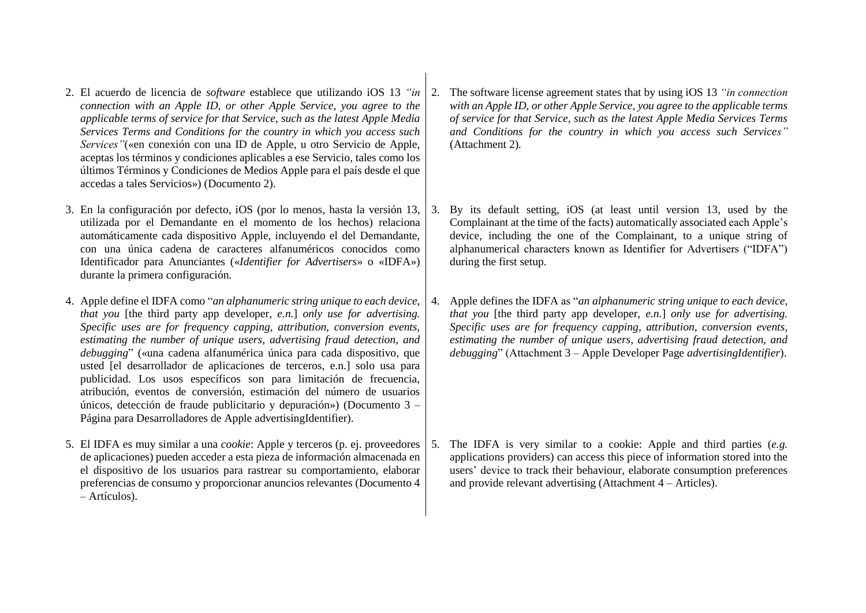- 2. El acuerdo de licencia de *software* establece que utilizando iOS 13 *"in connection with an Apple ID, or other Apple Service, you agree to the applicable terms of service for that Service, such as the latest Apple Media Services Terms and Conditions for the country in which you access such Services"*(«en conexión con una ID de Apple, u otro Servicio de Apple, aceptas los términos y condiciones aplicables a ese Servicio, tales como los últimos Términos y Condiciones de Medios Apple para el país desde el que accedas a tales Servicios») (Documento 2).
- 3. En la configuración por defecto, iOS (por lo menos, hasta la versión 13, utilizada por el Demandante en el momento de los hechos) relaciona automáticamente cada dispositivo Apple, incluyendo el del Demandante, con una única cadena de caracteres alfanuméricos conocidos como Identificador para Anunciantes («*Identifier for Advertisers*» o «IDFA») durante la primera configuración.
- 4. Apple define el IDFA como "*an alphanumeric string unique to each device, that you* [the third party app developer, *e.n.*] *only use for advertising. Specific uses are for frequency capping, attribution, conversion events, estimating the number of unique users, advertising fraud detection, and debugging*" («una cadena alfanumérica única para cada dispositivo, que usted [el desarrollador de aplicaciones de terceros, e.n.] solo usa para publicidad. Los usos específicos son para limitación de frecuencia, atribución, eventos de conversión, estimación del número de usuarios únicos, detección de fraude publicitario y depuración») (Documento 3 – Página para Desarrolladores de Apple advertisingIdentifier).
- 5. El IDFA es muy similar a una *cookie*: Apple y terceros (p. ej. proveedores de aplicaciones) pueden acceder a esta pieza de información almacenada en el dispositivo de los usuarios para rastrear su comportamiento, elaborar preferencias de consumo y proporcionar anuncios relevantes (Documento 4 – Artículos).
- 2. The software license agreement states that by using iOS 13 *"in connection with an Apple ID, or other Apple Service, you agree to the applicable terms of service for that Service, such as the latest Apple Media Services Terms and Conditions for the country in which you access such Services"*  (Attachment 2)*.*
- 3. By its default setting, iOS (at least until version 13, used by the Complainant at the time of the facts) automatically associated each Apple's device, including the one of the Complainant, to a unique string of alphanumerical characters known as Identifier for Advertisers ("IDFA") during the first setup.
- 4. Apple defines the IDFA as "*an alphanumeric string unique to each device, that you* [the third party app developer, *e.n.*] *only use for advertising. Specific uses are for frequency capping, attribution, conversion events, estimating the number of unique users, advertising fraud detection, and debugging*" (Attachment 3 – Apple Developer Page *advertisingIdentifier*).

5. The IDFA is very similar to a cookie: Apple and third parties (*e.g.*  applications providers) can access this piece of information stored into the users' device to track their behaviour, elaborate consumption preferences and provide relevant advertising (Attachment 4 – Articles).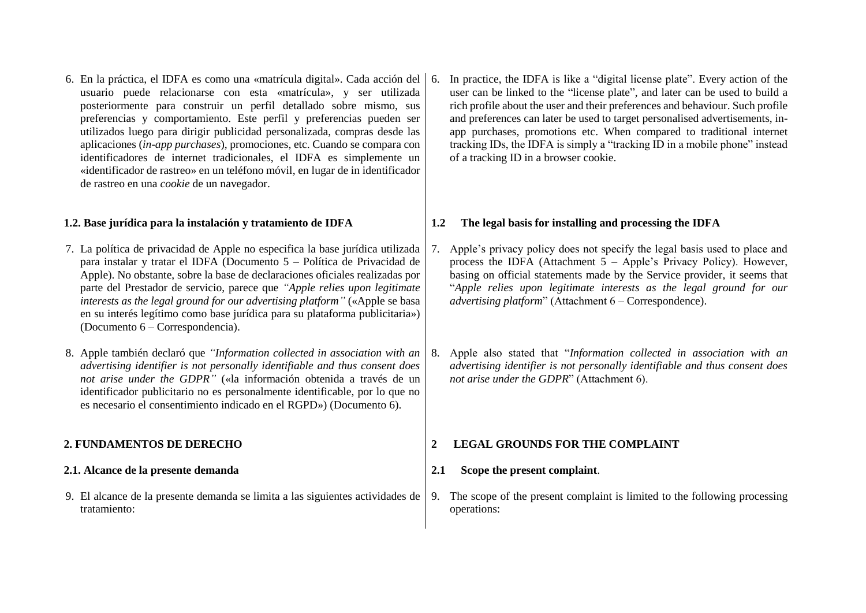6. En la práctica, el IDFA es como una «matrícula digital». Cada acción del usuario puede relacionarse con esta «matrícula», y ser utilizada posteriormente para construir un perfil detallado sobre mismo, sus preferencias y comportamiento. Este perfil y preferencias pueden ser utilizados luego para dirigir publicidad personalizada, compras desde las aplicaciones (*in-app purchases*), promociones, etc. Cuando se compara con identificadores de internet tradicionales, el IDFA es simplemente un «identificador de rastreo» en un teléfono móvil, en lugar de in identificador de rastreo en una *cookie* de un navegador.

### **1.2. Base jurídica para la instalación y tratamiento de IDFA**

- 7. La política de privacidad de Apple no especifica la base jurídica utilizada para instalar y tratar el IDFA (Documento 5 – Política de Privacidad de Apple). No obstante, sobre la base de declaraciones oficiales realizadas por parte del Prestador de servicio, parece que *"Apple relies upon legitimate interests as the legal ground for our advertising platform"* («Apple se basa en su interés legítimo como base jurídica para su plataforma publicitaria») (Documento 6 – Correspondencia).
- 8. Apple también declaró que *"Information collected in association with an advertising identifier is not personally identifiable and thus consent does not arise under the GDPR"* («la información obtenida a través de un identificador publicitario no es personalmente identificable, por lo que no es necesario el consentimiento indicado en el RGPD») (Documento 6).

#### **2. FUNDAMENTOS DE DERECHO**

### **2.1. Alcance de la presente demanda**

9. El alcance de la presente demanda se limita a las siguientes actividades de tratamiento:

6. In practice, the IDFA is like a "digital license plate". Every action of the user can be linked to the "license plate", and later can be used to build a rich profile about the user and their preferences and behaviour. Such profile and preferences can later be used to target personalised advertisements, inapp purchases, promotions etc. When compared to traditional internet tracking IDs, the IDFA is simply a "tracking ID in a mobile phone" instead of a tracking ID in a browser cookie.

### **1.2 The legal basis for installing and processing the IDFA**

- Apple's privacy policy does not specify the legal basis used to place and process the IDFA (Attachment 5 – Apple's Privacy Policy). However, basing on official statements made by the Service provider, it seems that "*Apple relies upon legitimate interests as the legal ground for our advertising platform*" (Attachment 6 – Correspondence).
- 8. Apple also stated that "*Information collected in association with an advertising identifier is not personally identifiable and thus consent does not arise under the GDPR*" (Attachment 6).

#### **2 LEGAL GROUNDS FOR THE COMPLAINT**

### **2.1 Scope the present complaint**.

9. The scope of the present complaint is limited to the following processing operations: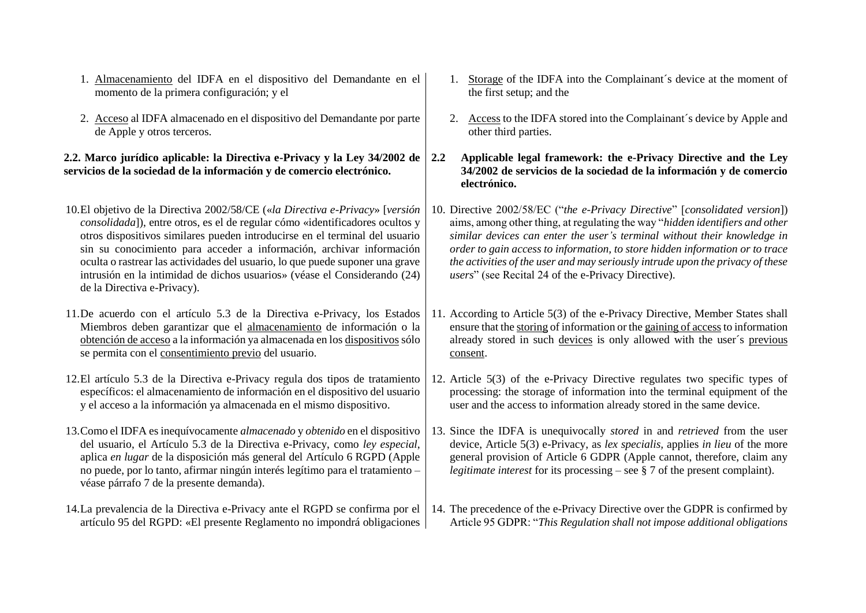- 1. Almacenamiento del IDFA en el dispositivo del Demandante en el momento de la primera configuración; y el
- 2. Acceso al IDFA almacenado en el dispositivo del Demandante por parte de Apple y otros terceros.

## **2.2. Marco jurídico aplicable: la Directiva e-Privacy y la Ley 34/2002 de servicios de la sociedad de la información y de comercio electrónico.**

- 10.El objetivo de la Directiva 2002/58/CE («*la Directiva e-Privacy*» [*versión consolidada*]), entre otros, es el de regular cómo «identificadores ocultos y otros dispositivos similares pueden introducirse en el terminal del usuario sin su conocimiento para acceder a información, archivar información oculta o rastrear las actividades del usuario, lo que puede suponer una grave intrusión en la intimidad de dichos usuarios» (véase el Considerando (24) de la Directiva e-Privacy).
- 11.De acuerdo con el artículo 5.3 de la Directiva e-Privacy, los Estados Miembros deben garantizar que el almacenamiento de información o la obtención de acceso a la información ya almacenada en los dispositivos sólo se permita con el consentimiento previo del usuario.
- 12.El artículo 5.3 de la Directiva e-Privacy regula dos tipos de tratamiento específicos: el almacenamiento de información en el dispositivo del usuario y el acceso a la información ya almacenada en el mismo dispositivo.
- 13.Como el IDFA es inequívocamente *almacenado* y *obtenido* en el dispositivo del usuario, el Artículo 5.3 de la Directiva e-Privacy, como *ley especial*, aplica *en lugar* de la disposición más general del Artículo 6 RGPD (Apple no puede, por lo tanto, afirmar ningún interés legítimo para el tratamiento – véase párrafo 7 de la presente demanda).
- 14.La prevalencia de la Directiva e-Privacy ante el RGPD se confirma por el artículo 95 del RGPD: «El presente Reglamento no impondrá obligaciones
- 1. Storage of the IDFA into the Complainant´s device at the moment of the first setup; and the
- 2. Access to the IDFA stored into the Complainant´s device by Apple and other third parties.
- **2.2 Applicable legal framework: the e-Privacy Directive and the Ley 34/2002 de servicios de la sociedad de la información y de comercio electrónico.**
- 10. Directive 2002/58/EC ("*the e-Privacy Directive*" [*consolidated version*]) aims, among other thing, at regulating the way "*hidden identifiers and other similar devices can enter the user's terminal without their knowledge in order to gain access to information, to store hidden information or to trace the activities of the user and may seriously intrude upon the privacy of these users*" (see Recital 24 of the e-Privacy Directive).
- 11. According to Article 5(3) of the e-Privacy Directive, Member States shall ensure that the storing of information or the gaining of accessto information already stored in such devices is only allowed with the user´s previous consent.
- 12. Article 5(3) of the e-Privacy Directive regulates two specific types of processing: the storage of information into the terminal equipment of the user and the access to information already stored in the same device.
- 13. Since the IDFA is unequivocally *stored* in and *retrieved* from the user device, Article 5(3) e-Privacy, as *lex specialis,* applies *in lieu* of the more general provision of Article 6 GDPR (Apple cannot, therefore, claim any *legitimate interest* for its processing – see § 7 of the present complaint).
- 14. The precedence of the e-Privacy Directive over the GDPR is confirmed by Article 95 GDPR: "*This Regulation shall not impose additional obligations*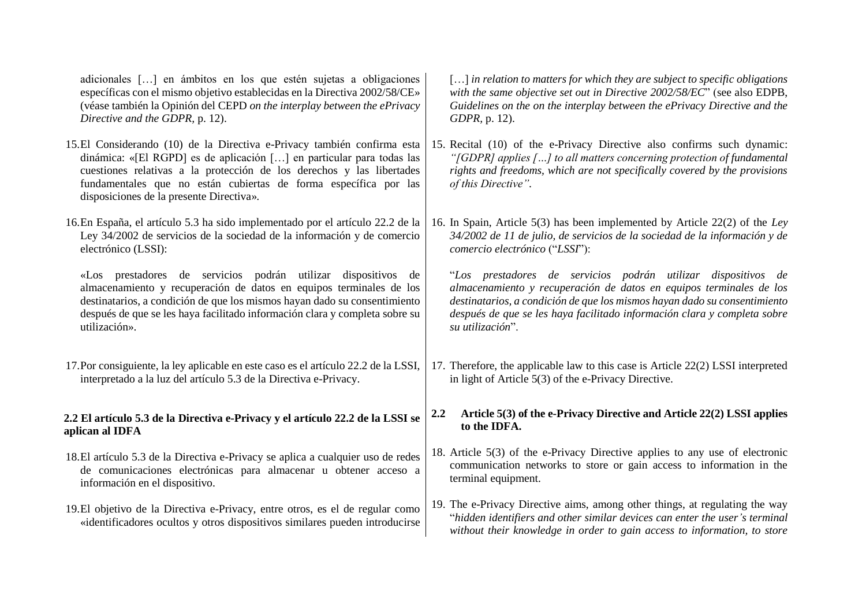adicionales […] en ámbitos en los que estén sujetas a obligaciones específicas con el mismo objetivo establecidas en la Directiva 2002/58/CE» (véase también la Opinión del CEPD *on the interplay between the ePrivacy Directive and the GDPR,* p. 12).

- 15.El Considerando (10) de la Directiva e-Privacy también confirma esta dinámica: «[El RGPD] es de aplicación […] en particular para todas las cuestiones relativas a la protección de los derechos y las libertades fundamentales que no están cubiertas de forma específica por las disposiciones de la presente Directiva»*.*
- 16.En España, el artículo 5.3 ha sido implementado por el artículo 22.2 de la Ley 34/2002 de servicios de la sociedad de la información y de comercio electrónico (LSSI):

«Los prestadores de servicios podrán utilizar dispositivos de almacenamiento y recuperación de datos en equipos terminales de los destinatarios, a condición de que los mismos hayan dado su consentimiento después de que se les haya facilitado información clara y completa sobre su utilización».

17.Por consiguiente, la ley aplicable en este caso es el artículo 22.2 de la LSSI, interpretado a la luz del artículo 5.3 de la Directiva e-Privacy.

### **2.2 El artículo 5.3 de la Directiva e-Privacy y el artículo 22.2 de la LSSI se aplican al IDFA**

- 18.El artículo 5.3 de la Directiva e-Privacy se aplica a cualquier uso de redes de comunicaciones electrónicas para almacenar u obtener acceso a información en el dispositivo.
- 19.El objetivo de la Directiva e-Privacy, entre otros, es el de regular como «identificadores ocultos y otros dispositivos similares pueden introducirse

[…] *in relation to matters for which they are subject to specific obligations with the same objective set out in Directive 2002/58/EC*" (see also EDPB, *Guidelines on the on the interplay between the ePrivacy Directive and the GDPR,* p. 12).

- 15. Recital (10) of the e-Privacy Directive also confirms such dynamic: *"[GDPR] applies […] to all matters concerning protection of fundamental rights and freedoms, which are not specifically covered by the provisions of this Directive".*
- 16. In Spain, Article 5(3) has been implemented by Article 22(2) of the *Ley 34/2002 de 11 de julio, de servicios de la sociedad de la información y de comercio electrónico* ("*LSSI*"):

"*Los prestadores de servicios podrán utilizar dispositivos de almacenamiento y recuperación de datos en equipos terminales de los destinatarios, a condición de que los mismos hayan dado su consentimiento después de que se les haya facilitado información clara y completa sobre su utilización*".

17. Therefore, the applicable law to this case is Article 22(2) LSSI interpreted in light of Article 5(3) of the e-Privacy Directive.

## **2.2 Article 5(3) of the e-Privacy Directive and Article 22(2) LSSI applies to the IDFA.**

- 18. Article 5(3) of the e-Privacy Directive applies to any use of electronic communication networks to store or gain access to information in the terminal equipment.
- 19. The e-Privacy Directive aims, among other things, at regulating the way "*hidden identifiers and other similar devices can enter the user's terminal without their knowledge in order to gain access to information, to store*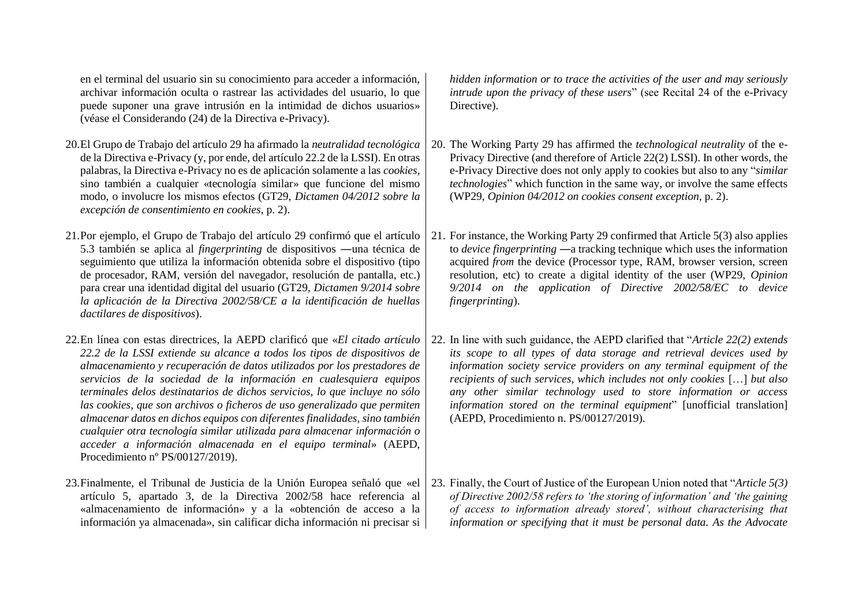en el terminal del usuario sin su conocimiento para acceder a información, archivar información oculta o rastrear las actividades del usuario, lo que puede suponer una grave intrusión en la intimidad de dichos usuarios» (véase el Considerando (24) de la Directiva e-Privacy).

- 20.El Grupo de Trabajo del artículo 29 ha afirmado la *neutralidad tecnológica* de la Directiva e-Privacy (y, por ende, del artículo 22.2 de la LSSI). En otras palabras, la Directiva e-Privacy no es de aplicación solamente a las *cookies*, sino también a cualquier «tecnología similar» que funcione del mismo modo, o involucre los mismos efectos (GT29, *Dictamen 04/2012 sobre la excepción de consentimiento en cookies*, p. 2).
- 21.Por ejemplo, el Grupo de Trabajo del artículo 29 confirmó que el artículo 5.3 también se aplica al *fingerprinting* de dispositivos ―una técnica de seguimiento que utiliza la información obtenida sobre el dispositivo (tipo de procesador, RAM, versión del navegador, resolución de pantalla, etc.) para crear una identidad digital del usuario (GT29, *Dictamen 9/2014 sobre la aplicación de la Directiva 2002/58/CE a la identificación de huellas dactilares de dispositivos*).
- 22.En línea con estas directrices, la AEPD clarificó que «*El citado artículo 22.2 de la LSSI extiende su alcance a todos los tipos de dispositivos de almacenamiento y recuperación de datos utilizados por los prestadores de servicios de la sociedad de la información en cualesquiera equipos terminales delos destinatarios de dichos servicios, lo que incluye no sólo las cookies, que son archivos o ficheros de uso generalizado que permiten almacenar datos en dichos equipos con diferentes finalidades, sino también cualquier otra tecnología similar utilizada para almacenar información o acceder a información almacenada en el equipo terminal*» (AEPD, Procedimiento nº PS/00127/2019).
- 23.Finalmente, el Tribunal de Justicia de la Unión Europea señaló que «el artículo 5, apartado 3, de la Directiva 2002/58 hace referencia al «almacenamiento de información» y a la «obtención de acceso a la información ya almacenada», sin calificar dicha información ni precisar si

*hidden information or to trace the activities of the user and may seriously intrude upon the privacy of these users*" (see Recital 24 of the e-Privacy Directive).

- 20. The Working Party 29 has affirmed the *technological neutrality* of the e-Privacy Directive (and therefore of Article 22(2) LSSI). In other words, the e-Privacy Directive does not only apply to cookies but also to any "*similar technologies*" which function in the same way, or involve the same effects (WP29, *Opinion 04/2012 on cookies consent exception*, p. 2).
- 21. For instance, the Working Party 29 confirmed that Article 5(3) also applies to *device fingerprinting* ―a tracking technique which uses the information acquired *from* the device (Processor type, RAM, browser version, screen resolution, etc) to create a digital identity of the user (WP29, *Opinion 9/2014 on the application of Directive 2002/58/EC to device fingerprinting*).
- 22. In line with such guidance, the AEPD clarified that "*Article 22(2) extends its scope to all types of data storage and retrieval devices used by information society service providers on any terminal equipment of the recipients of such services, which includes not only cookies* […] *but also any other similar technology used to store information or access information stored on the terminal equipment*" [unofficial translation] (AEPD, Procedimiento n. PS/00127/2019).
- 23. Finally, the Court of Justice of the European Union noted that "*Article 5(3) of Directive 2002/58 refers to 'the storing of information' and 'the gaining of access to information already stored', without characterising that information or specifying that it must be personal data. As the Advocate*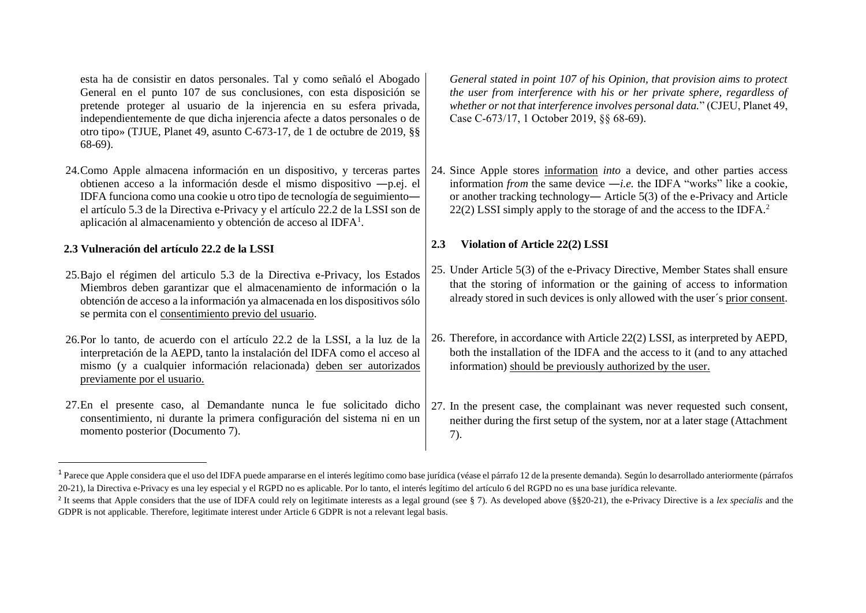esta ha de consistir en datos personales. Tal y como señaló el Abogado General en el punto 107 de sus conclusiones, con esta disposición se pretende proteger al usuario de la injerencia en su esfera privada, independientemente de que dicha injerencia afecte a datos personales o de otro tipo» (TJUE, Planet 49, asunto C-673-17, de 1 de octubre de 2019, §§ 68-69).

24.Como Apple almacena información en un dispositivo, y terceras partes obtienen acceso a la información desde el mismo dispositivo ―p.ej. el IDFA funciona como una cookie u otro tipo de tecnología de seguimiento― el artículo 5.3 de la Directiva e-Privacy y el artículo 22.2 de la LSSI son de aplicación al almacenamiento y obtención de acceso al IDFA<sup>1</sup>.

## **2.3 Vulneración del artículo 22.2 de la LSSI**

 $\overline{\phantom{a}}$ 

- 25.Bajo el régimen del articulo 5.3 de la Directiva e-Privacy, los Estados Miembros deben garantizar que el almacenamiento de información o la obtención de acceso a la información ya almacenada en los dispositivos sólo se permita con el consentimiento previo del usuario.
- 26.Por lo tanto, de acuerdo con el artículo 22.2 de la LSSI, a la luz de la interpretación de la AEPD, tanto la instalación del IDFA como el acceso al mismo (y a cualquier información relacionada) deben ser autorizados previamente por el usuario.
- 27.En el presente caso, al Demandante nunca le fue solicitado dicho consentimiento, ni durante la primera configuración del sistema ni en un momento posterior (Documento 7).

*General stated in point 107 of his Opinion, that provision aims to protect the user from interference with his or her private sphere, regardless of whether or not that interference involves personal data.*" (CJEU, Planet 49, Case C‑673/17, 1 October 2019, §§ 68-69).

24. Since Apple stores information *into* a device, and other parties access information *from* the same device ―*i.e.* the IDFA "works" like a cookie, or another tracking technology― Article 5(3) of the e-Privacy and Article 22(2) LSSI simply apply to the storage of and the access to the IDFA.<sup>2</sup>

# **2.3 Violation of Article 22(2) LSSI**

- 25. Under Article 5(3) of the e-Privacy Directive, Member States shall ensure that the storing of information or the gaining of access to information already stored in such devices is only allowed with the user´s prior consent.
- 26. Therefore, in accordance with Article 22(2) LSSI, as interpreted by AEPD, both the installation of the IDFA and the access to it (and to any attached information) should be previously authorized by the user.
- 27. In the present case, the complainant was never requested such consent, neither during the first setup of the system, nor at a later stage (Attachment 7).

<sup>&</sup>lt;sup>1</sup> Parece que Apple considera que el uso del IDFA puede ampararse en el interés legítimo como base jurídica (véase el párrafo 12 de la presente demanda). Según lo desarrollado anteriormente (párrafos 20-21), la Directiva e-Privacy es una ley especial y el RGPD no es aplicable. Por lo tanto, el interés legítimo del artículo 6 del RGPD no es una base jurídica relevante.

<sup>&</sup>lt;sup>2</sup> It seems that Apple considers that the use of IDFA could rely on legitimate interests as a legal ground (see § 7). As developed above (§§20-21), the e-Privacy Directive is a *lex specialis* and the GDPR is not applicable. Therefore, legitimate interest under Article 6 GDPR is not a relevant legal basis.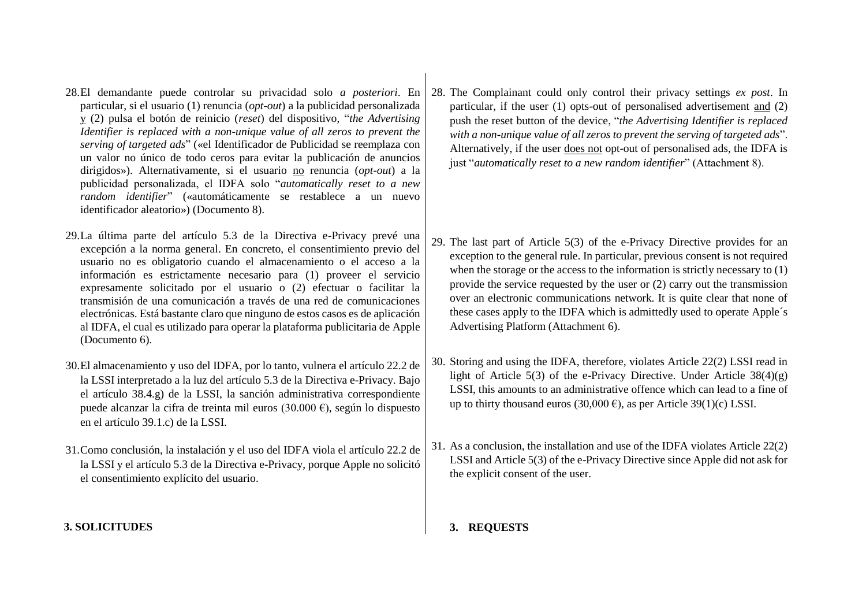- 28.El demandante puede controlar su privacidad solo *a posteriori*. En particular, si el usuario (1) renuncia (*opt-out*) a la publicidad personalizada y (2) pulsa el botón de reinicio (*reset*) del dispositivo, "*the Advertising Identifier is replaced with a non-unique value of all zeros to prevent the serving of targeted ads*" («el Identificador de Publicidad se reemplaza con un valor no único de todo ceros para evitar la publicación de anuncios dirigidos»). Alternativamente, si el usuario no renuncia (*opt-out*) a la publicidad personalizada, el IDFA solo "*automatically reset to a new random identifier*" («automáticamente se restablece a un nuevo identificador aleatorio») (Documento 8).
- 29.La última parte del artículo 5.3 de la Directiva e-Privacy prevé una excepción a la norma general. En concreto, el consentimiento previo del usuario no es obligatorio cuando el almacenamiento o el acceso a la información es estrictamente necesario para (1) proveer el servicio expresamente solicitado por el usuario o (2) efectuar o facilitar la transmisión de una comunicación a través de una red de comunicaciones electrónicas. Está bastante claro que ninguno de estos casos es de aplicación al IDFA, el cual es utilizado para operar la plataforma publicitaria de Apple (Documento 6).
- 30.El almacenamiento y uso del IDFA, por lo tanto, vulnera el artículo 22.2 de la LSSI interpretado a la luz del artículo 5.3 de la Directiva e-Privacy. Bajo el artículo 38.4.g) de la LSSI, la sanción administrativa correspondiente puede alcanzar la cifra de treinta mil euros (30.000 €), según lo dispuesto en el artículo 39.1.c) de la LSSI.
- 31.Como conclusión, la instalación y el uso del IDFA viola el artículo 22.2 de la LSSI y el artículo 5.3 de la Directiva e-Privacy, porque Apple no solicitó el consentimiento explícito del usuario.

# **3. SOLICITUDES**

28. The Complainant could only control their privacy settings *ex post*. In particular, if the user (1) opts-out of personalised advertisement and (2) push the reset button of the device, "*the Advertising Identifier is replaced with a non-unique value of all zeros to prevent the serving of targeted ads*". Alternatively, if the user does not opt-out of personalised ads, the IDFA is just "*automatically reset to a new random identifier*" (Attachment 8).

- 29. The last part of Article 5(3) of the e-Privacy Directive provides for an exception to the general rule. In particular, previous consent is not required when the storage or the access to the information is strictly necessary to (1) provide the service requested by the user or (2) carry out the transmission over an electronic communications network. It is quite clear that none of these cases apply to the IDFA which is admittedly used to operate Apple´s Advertising Platform (Attachment 6).
- 30. Storing and using the IDFA, therefore, violates Article 22(2) LSSI read in light of Article 5(3) of the e-Privacy Directive. Under Article  $38(4)(g)$ LSSI, this amounts to an administrative offence which can lead to a fine of up to thirty thousand euros (30,000 €), as per Article 39(1)(c) LSSI.
- 31. As a conclusion, the installation and use of the IDFA violates Article 22(2) LSSI and Article 5(3) of the e-Privacy Directive since Apple did not ask for the explicit consent of the user.

# **3. REQUESTS**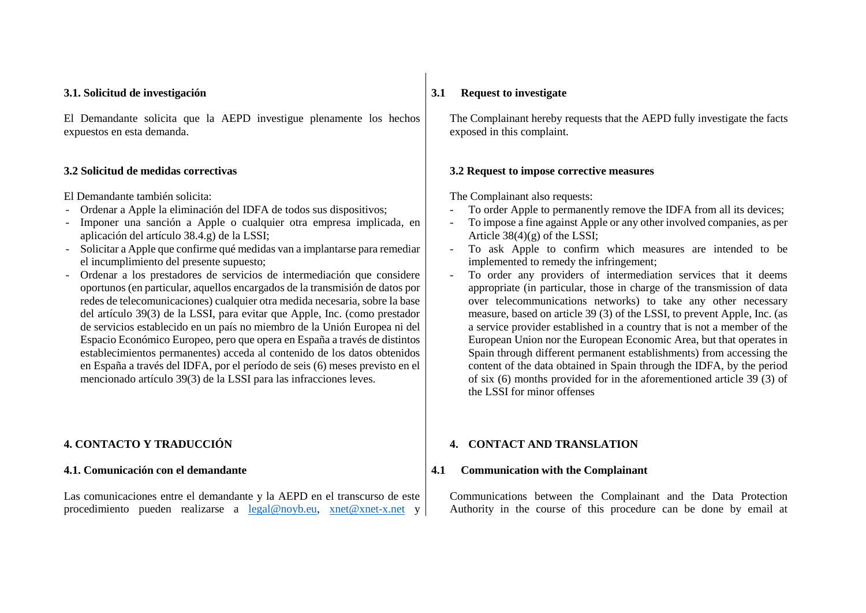#### **3.1. Solicitud de investigación**

El Demandante solicita que la AEPD investigue plenamente los hechos expuestos en esta demanda.

#### **3.2 Solicitud de medidas correctivas**

El Demandante también solicita:

- Ordenar a Apple la eliminación del IDFA de todos sus dispositivos;
- Imponer una sanción a Apple o cualquier otra empresa implicada, en aplicación del artículo 38.4.g) de la LSSI;
- Solicitar a Apple que confirme qué medidas van a implantarse para remediar el incumplimiento del presente supuesto;
- Ordenar a los prestadores de servicios de intermediación que considere oportunos (en particular, aquellos encargados de la transmisión de datos por redes de telecomunicaciones) cualquier otra medida necesaria, sobre la base del artículo 39(3) de la LSSI, para evitar que Apple, Inc. (como prestador de servicios establecido en un país no miembro de la Unión Europea ni del Espacio Económico Europeo, pero que opera en España a través de distintos establecimientos permanentes) acceda al contenido de los datos obtenidos en España a través del IDFA, por el período de seis (6) meses previsto en el mencionado artículo 39(3) de la LSSI para las infracciones leves.

# **4. CONTACTO Y TRADUCCIÓN**

#### **4.1. Comunicación con el demandante**

Las comunicaciones entre el demandante y la AEPD en el transcurso de este procedimiento pueden realizarse a [legal@noyb.eu,](mailto:legal@noyb.eu) xnet@xnet-x.net y

### **3.1 Request to investigate**

The Complainant hereby requests that the AEPD fully investigate the facts exposed in this complaint.

#### **3.2 Request to impose corrective measures**

The Complainant also requests:

- To order Apple to permanently remove the IDFA from all its devices;
- To impose a fine against Apple or any other involved companies, as per Article  $38(4)(g)$  of the LSSI;
- To ask Apple to confirm which measures are intended to be implemented to remedy the infringement;
- To order any providers of intermediation services that it deems appropriate (in particular, those in charge of the transmission of data over telecommunications networks) to take any other necessary measure, based on article 39 (3) of the LSSI, to prevent Apple, Inc. (as a service provider established in a country that is not a member of the European Union nor the European Economic Area, but that operates in Spain through different permanent establishments) from accessing the content of the data obtained in Spain through the IDFA, by the period of six (6) months provided for in the aforementioned article 39 (3) of the LSSI for minor offenses

#### **4. CONTACT AND TRANSLATION**

#### **4.1 Communication with the Complainant**

Communications between the Complainant and the Data Protection Authority in the course of this procedure can be done by email at